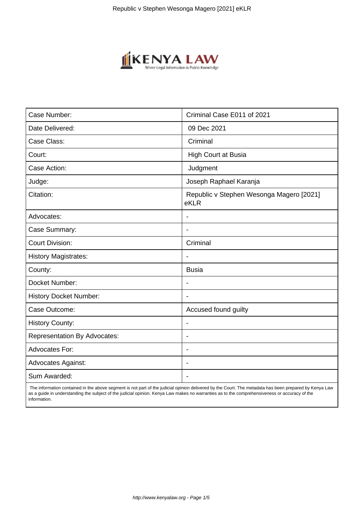

| Case Number:                        | Criminal Case E011 of 2021                       |
|-------------------------------------|--------------------------------------------------|
| Date Delivered:                     | 09 Dec 2021                                      |
| Case Class:                         | Criminal                                         |
| Court:                              | <b>High Court at Busia</b>                       |
| Case Action:                        | Judgment                                         |
| Judge:                              | Joseph Raphael Karanja                           |
| Citation:                           | Republic v Stephen Wesonga Magero [2021]<br>eKLR |
| Advocates:                          |                                                  |
| Case Summary:                       |                                                  |
| <b>Court Division:</b>              | Criminal                                         |
| <b>History Magistrates:</b>         | $\overline{\phantom{a}}$                         |
| County:                             | <b>Busia</b>                                     |
| Docket Number:                      |                                                  |
| <b>History Docket Number:</b>       |                                                  |
| Case Outcome:                       | Accused found guilty                             |
| <b>History County:</b>              | $\blacksquare$                                   |
| <b>Representation By Advocates:</b> | $\overline{\phantom{0}}$                         |
| Advocates For:                      | ÷.                                               |
| <b>Advocates Against:</b>           |                                                  |
| Sum Awarded:                        |                                                  |

 The information contained in the above segment is not part of the judicial opinion delivered by the Court. The metadata has been prepared by Kenya Law as a guide in understanding the subject of the judicial opinion. Kenya Law makes no warranties as to the comprehensiveness or accuracy of the information.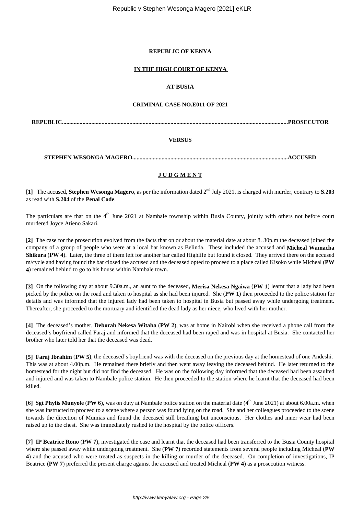## **REPUBLIC OF KENYA**

## **IN THE HIGH COURT OF KENYA**

## **AT BUSIA**

## **CRIMINAL CASE NO.E011 OF 2021**

**REPUBLIC..........................................................................................................................................................PROSECUTOR**

## **VERSUS**

**STEPHEN WESONGA MAGERO..........................................................................................................ACCUSED**

## **J U D G M E N T**

**[1]** The accused, **Stephen Wesonga Magero**, as per the information dated 2nd July 2021, is charged with murder, contrary to **S.203** as read with **S.204** of the **Penal Code**.

The particulars are that on the 4<sup>th</sup> June 2021 at Nambale township within Busia County, jointly with others not before court murdered Joyce Atieno Sakari.

**[2]** The case for the prosecution evolved from the facts that on or about the material date at about 8. 30p.m the deceased joined the company of a group of people who were at a local bar known as Belinda. These included the accused and **Micheal Wamacha Shikura** (**PW 4**). Later, the three of them left for another bar called Highlife but found it closed. They arrived there on the accused m/cycle and having found the bar closed the accused and the deceased opted to proceed to a place called Kisoko while Micheal (**PW 4**) remained behind to go to his house within Nambale town.

**[3]** On the following day at about 9.30a.m., an aunt to the deceased, **Merisa Nekesa Ngaiwa** (**PW 1**) learnt that a lady had been picked by the police on the road and taken to hospital as she had been injured. She (**PW 1**) then proceeded to the police station for details and was informed that the injured lady had been taken to hospital in Busia but passed away while undergoing treatment. Thereafter, she proceeded to the mortuary and identified the dead lady as her niece, who lived with her mother.

**[4]** The deceased's mother, **Deborah Nekesa Witaba** (**PW 2**), was at home in Nairobi when she received a phone call from the deceased's boyfriend called Faraj and informed that the deceased had been raped and was in hospital at Busia. She contacted her brother who later told her that the deceased was dead.

**[5] Faraj Ibrahim** (**PW 5**), the deceased's boyfriend was with the deceased on the previous day at the homestead of one Andeshi. This was at about 4.00p.m. He remained there briefly and then went away leaving the deceased behind. He later returned to the homestead for the night but did not find the deceased. He was on the following day informed that the deceased had been assaulted and injured and was taken to Nambale police station. He then proceeded to the station where he learnt that the deceased had been killed.

**[6] Sgt Phylis Munyole** (**PW 6**), was on duty at Nambale police station on the material date (4<sup>th</sup> June 2021) at about 6.00a.m. when she was instructed to proceed to a scene where a person was found lying on the road. She and her colleagues proceeded to the scene towards the direction of Mumias and found the deceased still breathing but unconscious. Her clothes and inner wear had been raised up to the chest. She was immediately rushed to the hospital by the police officers.

**[7] IP Beatrice Rono** (**PW 7**), investigated the case and learnt that the deceased had been transferred to the Busia County hospital where she passed away while undergoing treatment. She (**PW 7**) recorded statements from several people including Micheal (**PW 4**) and the accused who were treated as suspects in the killing or murder of the deceased. On completion of investigations, IP Beatrice (**PW 7**) preferred the present charge against the accused and treated Micheal (**PW 4**) as a prosecution witness.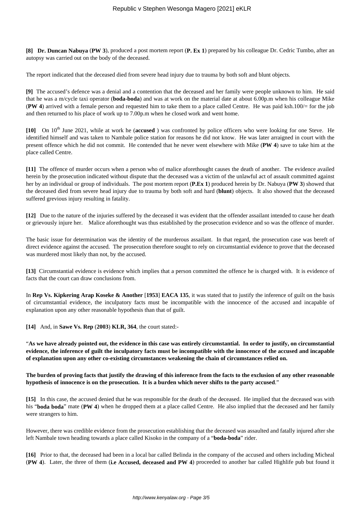**[8] Dr. Duncan Nabuya** (**PW 3**), produced a post mortem report (**P. Ex 1**) prepared by his colleague Dr. Cedric Tumbo, after an autopsy was carried out on the body of the deceased.

The report indicated that the deceased died from severe head injury due to trauma by both soft and blunt objects.

**[9]** The accused's defence was a denial and a contention that the deceased and her family were people unknown to him. He said that he was a m/cycle taxi operator (**boda-boda**) and was at work on the material date at about 6.00p.m when his colleague Mike (**PW 4**) arrived with a female person and requested him to take them to a place called Centre. He was paid ksh.100/= for the job and then returned to his place of work up to 7.00p.m when he closed work and went home.

[10] On 10<sup>th</sup> June 2021, while at work he (**accused**) was confronted by police officers who were looking for one Steve. He identified himself and was taken to Nambale police station for reasons he did not know. He was later arraigned in court with the present offence which he did not commit. He contended that he never went elsewhere with Mike (**PW 4**) save to take him at the place called Centre.

**[11]** The offence of murder occurs when a person who of malice aforethought causes the death of another. The evidence availed herein by the prosecution indicated without dispute that the deceased was a victim of the unlawful act of assault committed against her by an individual or group of individuals. The post mortem report (**P.Ex 1**) produced herein by Dr. Nabuya (**PW 3**) showed that the deceased died from severe head injury due to trauma by both soft and hard (**blunt**) objects. It also showed that the deceased suffered grevious injury resulting in fatality.

**[12]** Due to the nature of the injuries suffered by the deceased it was evident that the offender assailant intended to cause her death or grievously injure her. Malice aforethought was thus established by the prosecution evidence and so was the offence of murder.

The basic issue for determination was the identity of the murderous assailant. In that regard, the prosecution case was bereft of direct evidence against the accused. The prosecution therefore sought to rely on circumstantial evidence to prove that the deceased was murdered most likely than not, by the accused.

**[13]** Circumstantial evidence is evidence which implies that a person committed the offence he is charged with. It is evidence of facts that the court can draw conclusions from.

In **Rep Vs. Kipkering Arap Koseke & Another** [**1953**] **EACA 135**, it was stated that to justify the inference of guilt on the basis of circumstantial evidence, the inculpatory facts must be incompatible with the innocence of the accused and incapable of explanation upon any other reasonable hypothesis than that of guilt.

**[14]** And, in **Sawe Vs. Rep** (**2003**) **KLR, 364**, the court stated:-

"**As we have already pointed out, the evidence in this case was entirely circumstantial. In order to justify, on circumstantial evidence, the inference of guilt the inculpatory facts must be incompatible with the innocence of the accused and incapable of explanation upon any other co-existing circumstances weakening the chain of circumstances relied on.**

## **The burden of proving facts that justify the drawing of this inference from the facts to the exclusion of any other reasonable hypothesis of innocence is on the prosecution. It is a burden which never shifts to the party accused**."

**[15]** In this case, the accused denied that he was responsible for the death of the deceased. He implied that the deceased was with his "**boda boda**" mate (**PW 4**) when he dropped them at a place called Centre. He also implied that the deceased and her family were strangers to him.

However, there was credible evidence from the prosecution establishing that the deceased was assaulted and fatally injured after she left Nambale town heading towards a place called Kisoko in the company of a "**boda-boda**" rider.

**[16]** Prior to that, the deceased had been in a local bar called Belinda in the company of the accused and others including Micheal (**PW 4**). Later, the three of them (**i.e Accused, deceased and PW 4**) proceeded to another bar called Highlife pub but found it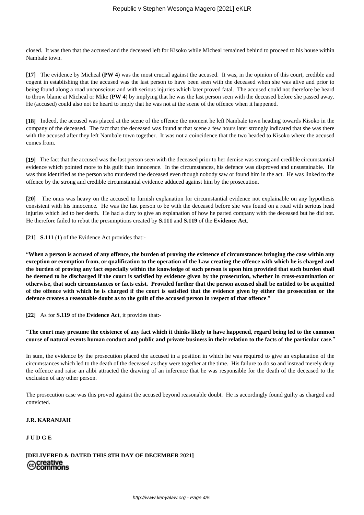closed. It was then that the accused and the deceased left for Kisoko while Micheal remained behind to proceed to his house within Nambale town.

**[17]** The evidence by Micheal (**PW 4**) was the most crucial against the accused. It was, in the opinion of this court, credible and cogent in establishing that the accused was the last person to have been seen with the deceased when she was alive and prior to being found along a road unconscious and with serious injuries which later proved fatal. The accused could not therefore be heard to throw blame at Micheal or Mike (**PW 4**) by implying that he was the last person seen with the deceased before she passed away. He (accused) could also not be heard to imply that he was not at the scene of the offence when it happened.

**[18]** Indeed, the accused was placed at the scene of the offence the moment he left Nambale town heading towards Kisoko in the company of the deceased. The fact that the deceased was found at that scene a few hours later strongly indicated that she was there with the accused after they left Nambale town together. It was not a coincidence that the two headed to Kisoko where the accused comes from.

**[19]** The fact that the accused was the last person seen with the deceased prior to her demise was strong and credible circumstantial evidence which pointed more to his guilt than innocence. In the circumstances, his defence was disproved and unsustainable. He was thus identified as the person who murdered the deceased even though nobody saw or found him in the act. He was linked to the offence by the strong and credible circumstantial evidence adduced against him by the prosecution.

**[20]** The onus was heavy on the accused to furnish explanation for circumstantial evidence not explainable on any hypothesis consistent with his innocence. He was the last person to be with the deceased before she was found on a road with serious head injuries which led to her death. He had a duty to give an explanation of how he parted company with the deceased but he did not. He therefore failed to rebut the presumptions created by **S.111** and **S.119** of the **Evidence Act**.

**[21] S.111** (**1**) of the Evidence Act provides that:-

"**When a person is accused of any offence, the burden of proving the existence of circumstances bringing the case within any exception or exemption from, or qualification to the operation of the Law creating the offence with which he is charged and the burden of proving any fact especially within the knowledge of such person is upon him provided that such burden shall be deemed to be discharged if the court is satisfied by evidence given by the prosecution, whether in cross-examination or otherwise, that such circumstances or facts exist. Provided further that the person accused shall be entitled to be acquitted of the offence with which he is charged if the court is satisfied that the evidence given by either the prosecution or the defence creates a reasonable doubt as to the guilt of the accused person in respect of that offence**."

**[22]** As for **S.119** of the **Evidence Act**, it provides that:-

"**The court may presume the existence of any fact which it thinks likely to have happened, regard being led to the common course of natural events human conduct and public and private business in their relation to the facts of the particular case**."

In sum, the evidence by the prosecution placed the accused in a position in which he was required to give an explanation of the circumstances which led to the death of the deceased as they were together at the time. His failure to do so and instead merely deny the offence and raise an alibi attracted the drawing of an inference that he was responsible for the death of the deceased to the exclusion of any other person.

The prosecution case was this proved against the accused beyond reasonable doubt. He is accordingly found guilty as charged and convicted.

## **J.R. KARANJAH**

## **J U D G E**

# **[DELIVERED & DATED THIS 8TH DAY OF DECEMBER 2021]** cocreative<br>©Commons